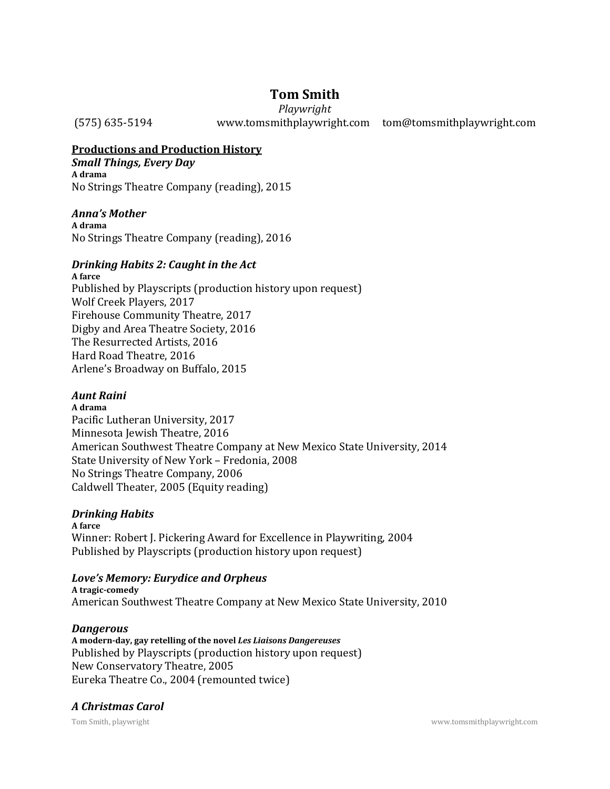# **Tom Smith**

*Playwright* (575) 635-5194 www.tomsmithplaywright.com tom@tomsmithplaywright.com

# **Productions and Production History**

*Small Things, Every Day*  **A drama**  No Strings Theatre Company (reading), 2015

# *Anna's Mother*

**A drama**  No Strings Theatre Company (reading), 2016

# *Drinking Habits 2: Caught in the Act*

**A farce**  Published by Playscripts (production history upon request) Wolf Creek Players, 2017 Firehouse Community Theatre, 2017 Digby and Area Theatre Society, 2016 The Resurrected Artists, 2016 Hard Road Theatre, 2016 Arlene's Broadway on Buffalo, 2015

# *Aunt Raini*

**A drama**  Pacific Lutheran University, 2017 Minnesota Jewish Theatre, 2016 American Southwest Theatre Company at New Mexico State University, 2014 State University of New York – Fredonia, 2008 No Strings Theatre Company, 2006 Caldwell Theater, 2005 (Equity reading)

# *Drinking Habits*

**A farce**  Winner: Robert J. Pickering Award for Excellence in Playwriting, 2004 Published by Playscripts (production history upon request)

# *Love's Memory: Eurydice and Orpheus*

**A tragic-comedy**  American Southwest Theatre Company at New Mexico State University, 2010

### *Dangerous*

**A modern-day, gay retelling of the novel** *Les Liaisons Dangereuses*  Published by Playscripts (production history upon request) New Conservatory Theatre, 2005 Eureka Theatre Co., 2004 (remounted twice)

### *A Christmas Carol*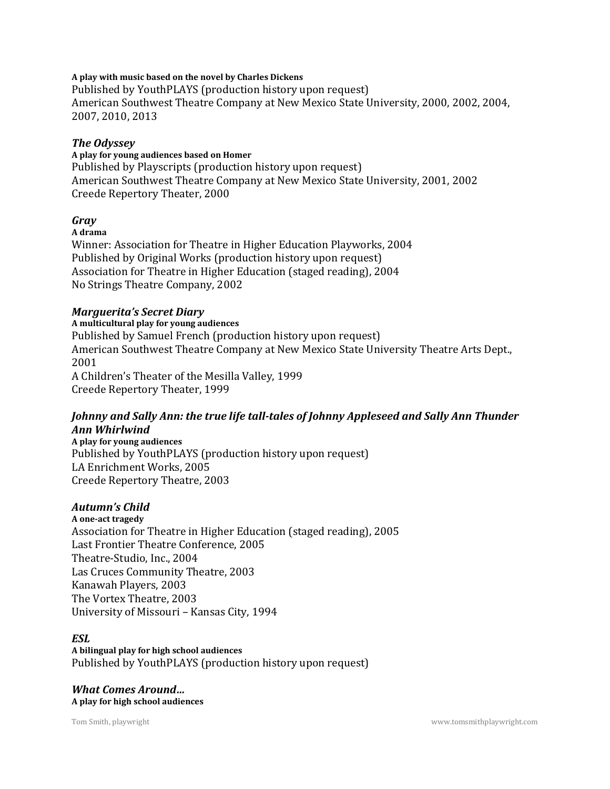#### **A play with music based on the novel by Charles Dickens**

Published by YouthPLAYS (production history upon request) American Southwest Theatre Company at New Mexico State University, 2000, 2002, 2004, 2007, 2010, 2013

#### *The Odyssey*

#### **A play for young audiences based on Homer**

Published by Playscripts (production history upon request) American Southwest Theatre Company at New Mexico State University, 2001, 2002 Creede Repertory Theater, 2000

### *Gray*

#### **A drama**

Winner: Association for Theatre in Higher Education Playworks, 2004 Published by Original Works (production history upon request) Association for Theatre in Higher Education (staged reading), 2004 No Strings Theatre Company, 2002

#### *Marguerita's Secret Diary*

**A multicultural play for young audiences**  Published by Samuel French (production history upon request) American Southwest Theatre Company at New Mexico State University Theatre Arts Dept., 2001 A Children's Theater of the Mesilla Valley, 1999 Creede Repertory Theater, 1999

### *Johnny and Sally Ann: the true life tall-tales of Johnny Appleseed and Sally Ann Thunder Ann Whirlwind*

**A play for young audiences**  Published by YouthPLAYS (production history upon request) LA Enrichment Works, 2005 Creede Repertory Theatre, 2003

### *Autumn's Child*

**A one-act tragedy**  Association for Theatre in Higher Education (staged reading), 2005 Last Frontier Theatre Conference, 2005 Theatre-Studio, Inc., 2004 Las Cruces Community Theatre, 2003 Kanawah Players, 2003 The Vortex Theatre, 2003 University of Missouri – Kansas City, 1994

#### *ESL*

**A bilingual play for high school audiences**  Published by YouthPLAYS (production history upon request)

*What Comes Around…*  **A play for high school audiences**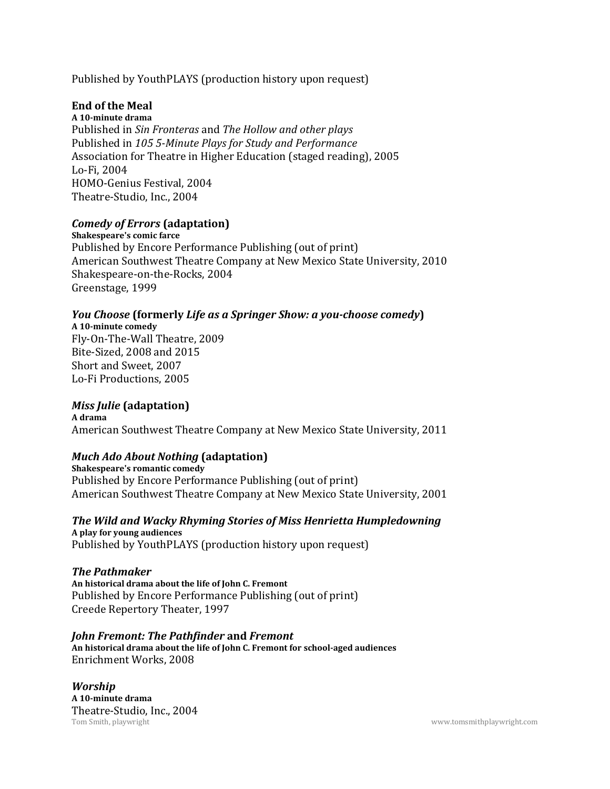Published by YouthPLAYS (production history upon request)

# **End of the Meal**

**A 10-minute drama**  Published in *Sin Fronteras* and *The Hollow and other plays*  Published in *105 5-Minute Plays for Study and Performance*  Association for Theatre in Higher Education (staged reading), 2005 Lo-Fi, 2004 HOMO-Genius Festival, 2004 Theatre-Studio, Inc., 2004

# *Comedy of Errors* **(adaptation)**

**Shakespeare's comic farce**  Published by Encore Performance Publishing (out of print) American Southwest Theatre Company at New Mexico State University, 2010 Shakespeare-on-the-Rocks, 2004 Greenstage, 1999

# *You Choose* **(formerly** *Life as a Springer Show: a you-choose comedy***)**

**A 10-minute comedy**  Fly-On-The-Wall Theatre, 2009 Bite-Sized, 2008 and 2015 Short and Sweet, 2007 Lo-Fi Productions, 2005

# *Miss Julie* **(adaptation)**

**A drama**  American Southwest Theatre Company at New Mexico State University, 2011

### *Much Ado About Nothing* **(adaptation)**

**Shakespeare's romantic comedy**  Published by Encore Performance Publishing (out of print) American Southwest Theatre Company at New Mexico State University, 2001

*The Wild and Wacky Rhyming Stories of Miss Henrietta Humpledowning*  **A play for young audiences**  Published by YouthPLAYS (production history upon request)

### *The Pathmaker*

**An historical drama about the life of John C. Fremont**  Published by Encore Performance Publishing (out of print) Creede Repertory Theater, 1997

*John Fremont: The Pathfinder* **and** *Fremont*  **An historical drama about the life of John C. Fremont for school-aged audiences**  Enrichment Works, 2008

Tom Smith, playwright www.tomsmithplaywright.com *Worship*  **A 10-minute drama**  Theatre-Studio, Inc., 2004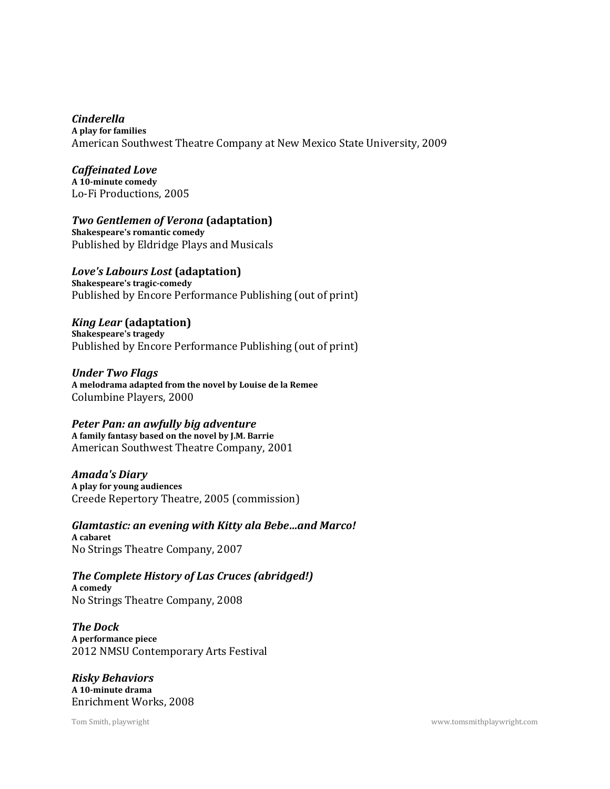*Cinderella*  **A play for families**  American Southwest Theatre Company at New Mexico State University, 2009

*Caffeinated Love*  **A 10-minute comedy**  Lo-Fi Productions, 2005

*Two Gentlemen of Verona* **(adaptation)** 

**Shakespeare's romantic comedy**  Published by Eldridge Plays and Musicals

*Love's Labours Lost* **(adaptation) Shakespeare's tragic-comedy**  Published by Encore Performance Publishing (out of print)

*King Lear* **(adaptation) Shakespeare's tragedy**  Published by Encore Performance Publishing (out of print)

*Under Two Flags*  **A melodrama adapted from the novel by Louise de la Remee**  Columbine Players, 2000

# *Peter Pan: an awfully big adventure*

**A family fantasy based on the novel by J.M. Barrie**  American Southwest Theatre Company, 2001

*Amada's Diary*  **A play for young audiences**  Creede Repertory Theatre, 2005 (commission)

*Glamtastic: an evening with Kitty ala Bebe…and Marco!*  **A cabaret**  No Strings Theatre Company, 2007

*The Complete History of Las Cruces (abridged!)*  **A comedy**  No Strings Theatre Company, 2008

*The Dock*  **A performance piece**  2012 NMSU Contemporary Arts Festival

*Risky Behaviors*  **A 10-minute drama**  Enrichment Works, 2008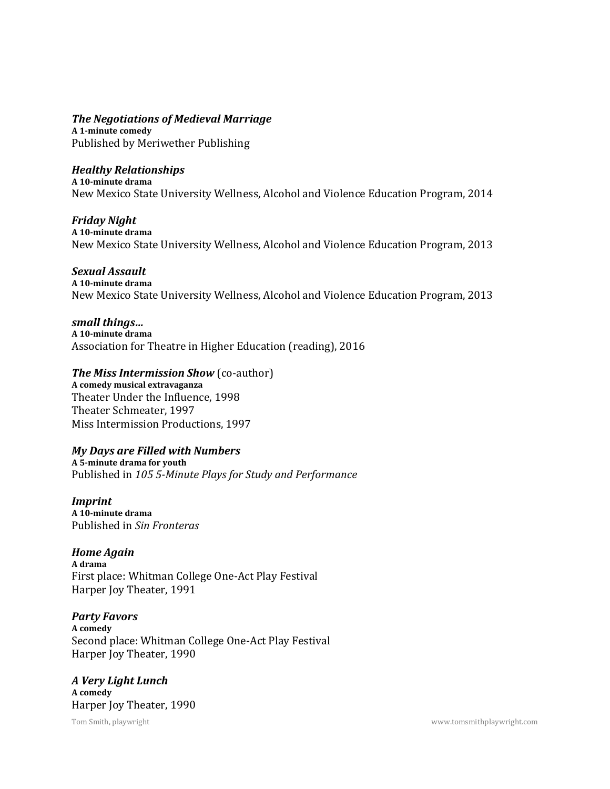*The Negotiations of Medieval Marriage*  **A 1-minute comedy** 

Published by Meriwether Publishing

# *Healthy Relationships*

**A 10-minute drama**  New Mexico State University Wellness, Alcohol and Violence Education Program, 2014

### *Friday Night*

**A 10-minute drama**  New Mexico State University Wellness, Alcohol and Violence Education Program, 2013

# *Sexual Assault*

**A 10-minute drama**  New Mexico State University Wellness, Alcohol and Violence Education Program, 2013

### *small things…*

**A 10-minute drama**  Association for Theatre in Higher Education (reading), 2016

# *The Miss Intermission Show* (co-author)

**A comedy musical extravaganza**  Theater Under the Influence, 1998 Theater Schmeater, 1997 Miss Intermission Productions, 1997

# *My Days are Filled with Numbers*

**A 5-minute drama for youth**  Published in *105 5-Minute Plays for Study and Performance* 

*Imprint*  **A 10-minute drama**  Published in *Sin Fronteras* 

### *Home Again*

**A drama**  First place: Whitman College One-Act Play Festival Harper Joy Theater, 1991

### *Party Favors*

**A comedy**  Second place: Whitman College One-Act Play Festival Harper Joy Theater, 1990

*A Very Light Lunch*  **A comedy**  Harper Joy Theater, 1990